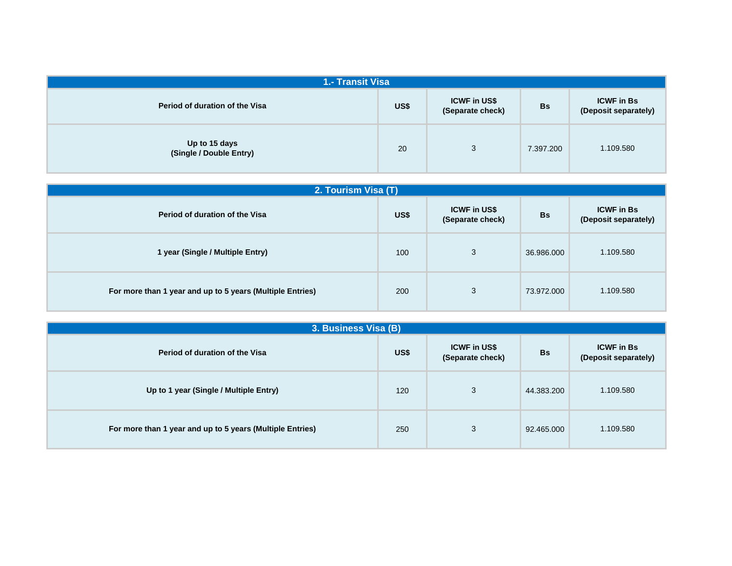| 1.- Transit Visa                         |      |                                         |           |                                           |
|------------------------------------------|------|-----------------------------------------|-----------|-------------------------------------------|
| Period of duration of the Visa           | US\$ | <b>ICWF in US\$</b><br>(Separate check) | <b>Bs</b> | <b>ICWF</b> in Bs<br>(Deposit separately) |
| Up to 15 days<br>(Single / Double Entry) | 20   | 3                                       | 7.397.200 | 1.109.580                                 |

| 2. Tourism Visa (T)                                       |      |                                         |            |                                           |
|-----------------------------------------------------------|------|-----------------------------------------|------------|-------------------------------------------|
| Period of duration of the Visa                            | US\$ | <b>ICWF in US\$</b><br>(Separate check) | <b>Bs</b>  | <b>ICWF</b> in Bs<br>(Deposit separately) |
| 1 year (Single / Multiple Entry)                          | 100  | 3                                       | 36.986.000 | 1.109.580                                 |
| For more than 1 year and up to 5 years (Multiple Entries) | 200  | 3                                       | 73.972.000 | 1.109.580                                 |

| 3. Business Visa (B)                                      |      |                                         |            |                                           |
|-----------------------------------------------------------|------|-----------------------------------------|------------|-------------------------------------------|
| Period of duration of the Visa                            | US\$ | <b>ICWF in US\$</b><br>(Separate check) | <b>Bs</b>  | <b>ICWF</b> in Bs<br>(Deposit separately) |
| Up to 1 year (Single / Multiple Entry)                    | 120  | 3                                       | 44.383.200 | 1.109.580                                 |
| For more than 1 year and up to 5 years (Multiple Entries) | 250  | 3                                       | 92.465.000 | 1.109.580                                 |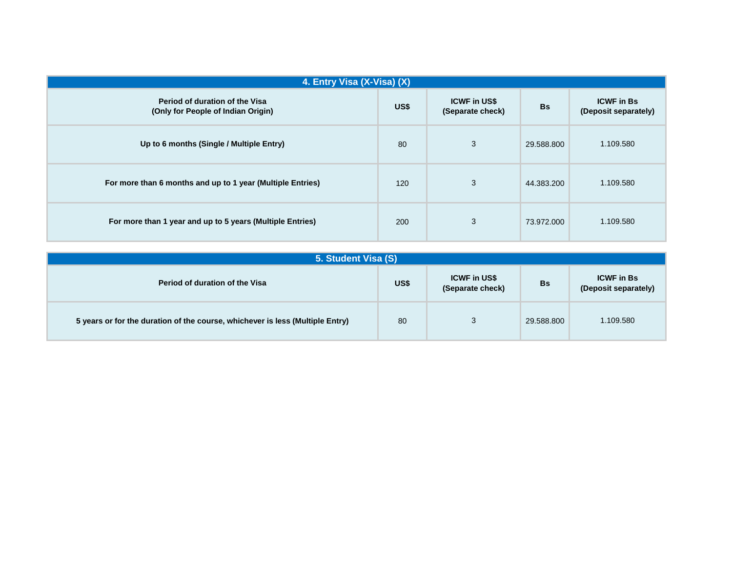| 4. Entry Visa (X-Visa) (X)                                           |      |                                         |            |                                           |  |
|----------------------------------------------------------------------|------|-----------------------------------------|------------|-------------------------------------------|--|
| Period of duration of the Visa<br>(Only for People of Indian Origin) | US\$ | <b>ICWF in US\$</b><br>(Separate check) | <b>Bs</b>  | <b>ICWF</b> in Bs<br>(Deposit separately) |  |
| Up to 6 months (Single / Multiple Entry)                             | 80   | 3                                       | 29,588,800 | 1.109.580                                 |  |
| For more than 6 months and up to 1 year (Multiple Entries)           | 120  | 3                                       | 44.383.200 | 1.109.580                                 |  |
| For more than 1 year and up to 5 years (Multiple Entries)            | 200  | 3                                       | 73.972.000 | 1.109.580                                 |  |

| 5. Student Visa (S)                                                           |      |                                         |            |                                           |
|-------------------------------------------------------------------------------|------|-----------------------------------------|------------|-------------------------------------------|
| Period of duration of the Visa                                                | US\$ | <b>ICWF in US\$</b><br>(Separate check) | <b>Bs</b>  | <b>ICWF in Bs</b><br>(Deposit separately) |
| 5 years or for the duration of the course, whichever is less (Multiple Entry) | 80   | 3                                       | 29.588.800 | 1.109.580                                 |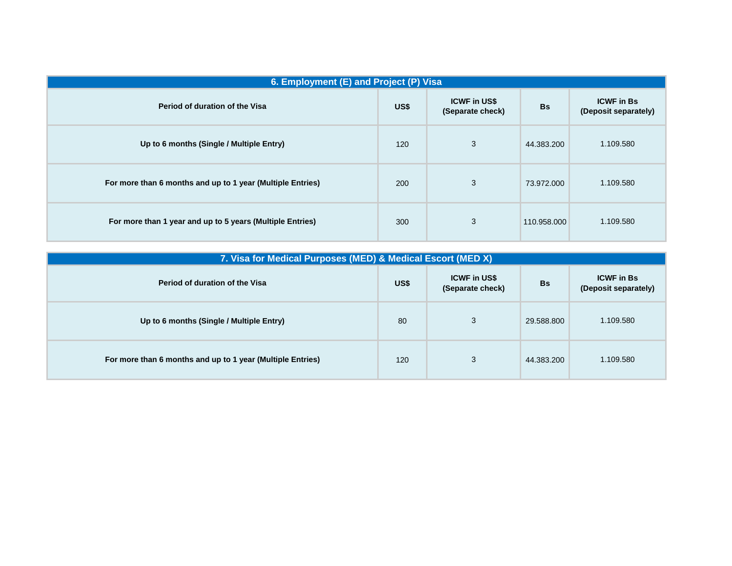| 6. Employment (E) and Project (P) Visa                     |      |                                         |             |                                           |
|------------------------------------------------------------|------|-----------------------------------------|-------------|-------------------------------------------|
| Period of duration of the Visa                             | US\$ | <b>ICWF in US\$</b><br>(Separate check) | <b>Bs</b>   | <b>ICWF in Bs</b><br>(Deposit separately) |
| Up to 6 months (Single / Multiple Entry)                   | 120  | 3                                       | 44.383.200  | 1.109.580                                 |
| For more than 6 months and up to 1 year (Multiple Entries) | 200  | 3                                       | 73.972.000  | 1.109.580                                 |
| For more than 1 year and up to 5 years (Multiple Entries)  | 300  | 3                                       | 110.958.000 | 1.109.580                                 |

| 7. Visa for Medical Purposes (MED) & Medical Escort (MED X) |      |                                         |            |                                           |
|-------------------------------------------------------------|------|-----------------------------------------|------------|-------------------------------------------|
| Period of duration of the Visa                              | US\$ | <b>ICWF in US\$</b><br>(Separate check) | <b>Bs</b>  | <b>ICWF</b> in Bs<br>(Deposit separately) |
| Up to 6 months (Single / Multiple Entry)                    | 80   | 3                                       | 29.588.800 | 1.109.580                                 |
| For more than 6 months and up to 1 year (Multiple Entries)  | 120  | 3                                       | 44.383.200 | 1.109.580                                 |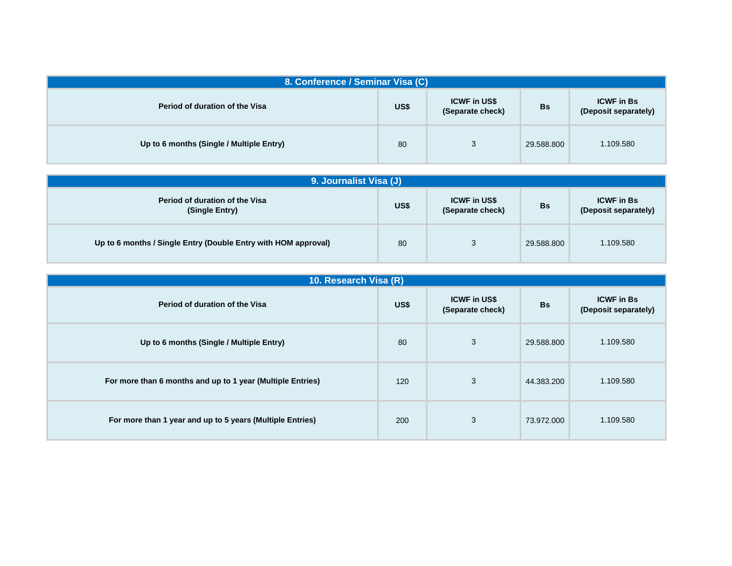| 8. Conference / Seminar Visa (C)         |      |                                         |            |                                           |
|------------------------------------------|------|-----------------------------------------|------------|-------------------------------------------|
| Period of duration of the Visa           | US\$ | <b>ICWF in US\$</b><br>(Separate check) | <b>Bs</b>  | <b>ICWF</b> in Bs<br>(Deposit separately) |
| Up to 6 months (Single / Multiple Entry) | 80   | 3                                       | 29.588.800 | 1.109.580                                 |

| 9. Journalist Visa (J)                                         |      |                                         |            |                                           |
|----------------------------------------------------------------|------|-----------------------------------------|------------|-------------------------------------------|
| Period of duration of the Visa<br>(Single Entry)               | US\$ | <b>ICWF in US\$</b><br>(Separate check) | <b>Bs</b>  | <b>ICWF</b> in Bs<br>(Deposit separately) |
| Up to 6 months / Single Entry (Double Entry with HOM approval) | 80   | 3                                       | 29.588.800 | 1.109.580                                 |

| 10. Research Visa (R)                                      |      |                                         |            |                                           |
|------------------------------------------------------------|------|-----------------------------------------|------------|-------------------------------------------|
| Period of duration of the Visa                             | US\$ | <b>ICWF in US\$</b><br>(Separate check) | <b>Bs</b>  | <b>ICWF</b> in Bs<br>(Deposit separately) |
| Up to 6 months (Single / Multiple Entry)                   | 80   | 3                                       | 29.588.800 | 1.109.580                                 |
| For more than 6 months and up to 1 year (Multiple Entries) | 120  | 3                                       | 44.383.200 | 1.109.580                                 |
| For more than 1 year and up to 5 years (Multiple Entries)  | 200  | 3                                       | 73.972.000 | 1.109.580                                 |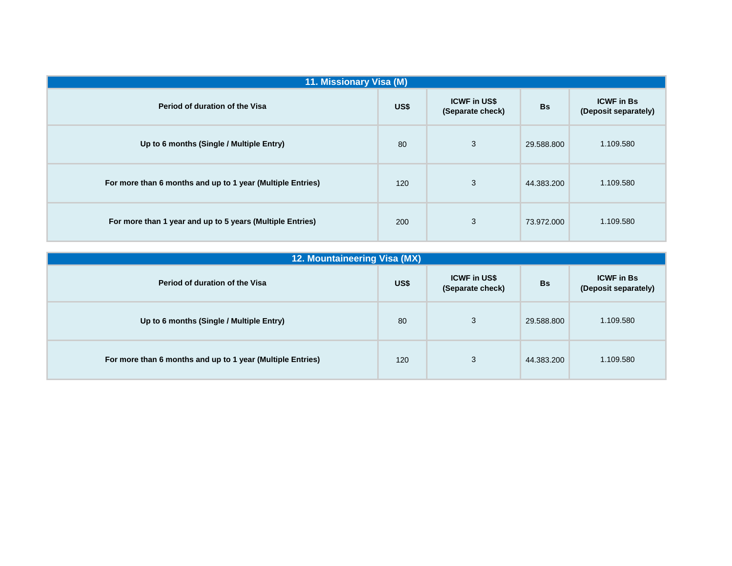| 11. Missionary Visa (M)                                    |      |                                         |            |                                           |  |
|------------------------------------------------------------|------|-----------------------------------------|------------|-------------------------------------------|--|
| Period of duration of the Visa                             | US\$ | <b>ICWF in US\$</b><br>(Separate check) | <b>Bs</b>  | <b>ICWF</b> in Bs<br>(Deposit separately) |  |
| Up to 6 months (Single / Multiple Entry)                   | 80   | 3                                       | 29,588,800 | 1.109.580                                 |  |
| For more than 6 months and up to 1 year (Multiple Entries) | 120  | 3                                       | 44.383.200 | 1.109.580                                 |  |
| For more than 1 year and up to 5 years (Multiple Entries)  | 200  | 3                                       | 73.972.000 | 1.109.580                                 |  |

| 12. Mountaineering Visa (MX)                               |      |                                         |            |                                           |
|------------------------------------------------------------|------|-----------------------------------------|------------|-------------------------------------------|
| Period of duration of the Visa                             | US\$ | <b>ICWF in US\$</b><br>(Separate check) | <b>Bs</b>  | <b>ICWF</b> in Bs<br>(Deposit separately) |
| Up to 6 months (Single / Multiple Entry)                   | 80   | 3                                       | 29.588.800 | 1.109.580                                 |
| For more than 6 months and up to 1 year (Multiple Entries) | 120  | 3                                       | 44.383.200 | 1.109.580                                 |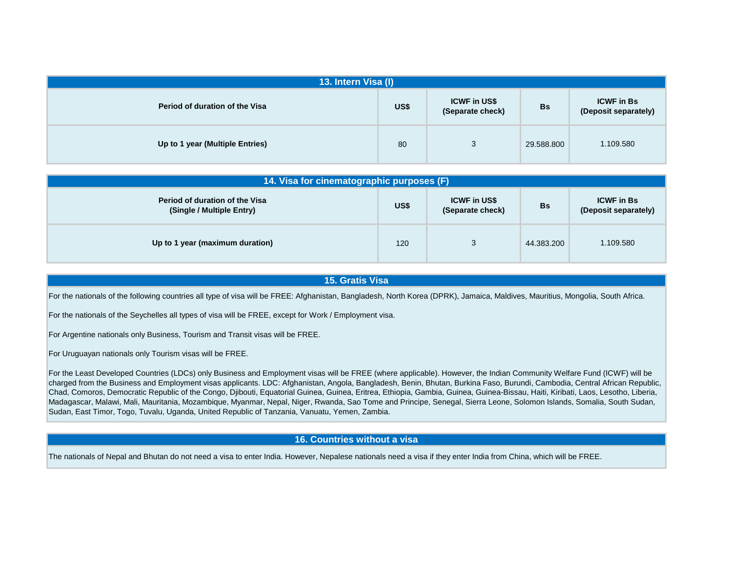| 13. Intern Visa (I)             |      |                                         |            |                                           |  |  |  |
|---------------------------------|------|-----------------------------------------|------------|-------------------------------------------|--|--|--|
| Period of duration of the Visa  | US\$ | <b>ICWF in US\$</b><br>(Separate check) | <b>Bs</b>  | <b>ICWF</b> in Bs<br>(Deposit separately) |  |  |  |
| Up to 1 year (Multiple Entries) | 80   | 3                                       | 29.588.800 | 1.109.580                                 |  |  |  |

| 14. Visa for cinematographic purposes (F)                          |      |                                         |            |                                           |  |  |  |
|--------------------------------------------------------------------|------|-----------------------------------------|------------|-------------------------------------------|--|--|--|
| <b>Period of duration of the Visa</b><br>(Single / Multiple Entry) | US\$ | <b>ICWF in US\$</b><br>(Separate check) | <b>Bs</b>  | <b>ICWF</b> in Bs<br>(Deposit separately) |  |  |  |
| Up to 1 year (maximum duration)                                    |      | 3                                       | 44.383.200 | 1.109.580                                 |  |  |  |

## **15. Gratis Visa**

For the nationals of the following countries all type of visa will be FREE: Afghanistan, Bangladesh, North Korea (DPRK), Jamaica, Maldives, Mauritius, Mongolia, South Africa.

For the nationals of the Seychelles all types of visa will be FREE, except for Work / Employment visa.

For Argentine nationals only Business, Tourism and Transit visas will be FREE.

For Uruguayan nationals only Tourism visas will be FREE.

For the Least Developed Countries (LDCs) only Business and Employment visas will be FREE (where applicable). However, the Indian Community Welfare Fund (ICWF) will be charged from the Business and Employment visas applicants. LDC: Afghanistan, Angola, Bangladesh, Benin, Bhutan, Burkina Faso, Burundi, Cambodia, Central African Republic, Chad, Comoros, Democratic Republic of the Congo, Djibouti, Equatorial Guinea, Guinea, Eritrea, Ethiopia, Gambia, Guinea, Guinea-Bissau, Haiti, Kiribati, Laos, Lesotho, Liberia, Madagascar, Malawi, Mali, Mauritania, Mozambique, Myanmar, Nepal, Niger, Rwanda, Sao Tome and Principe, Senegal, Sierra Leone, Solomon Islands, Somalia, South Sudan, Sudan, East Timor, Togo, Tuvalu, Uganda, United Republic of Tanzania, Vanuatu, Yemen, Zambia.

## **16. Countries without a visa**

The nationals of Nepal and Bhutan do not need a visa to enter India. However, Nepalese nationals need a visa if they enter India from China, which will be FREE.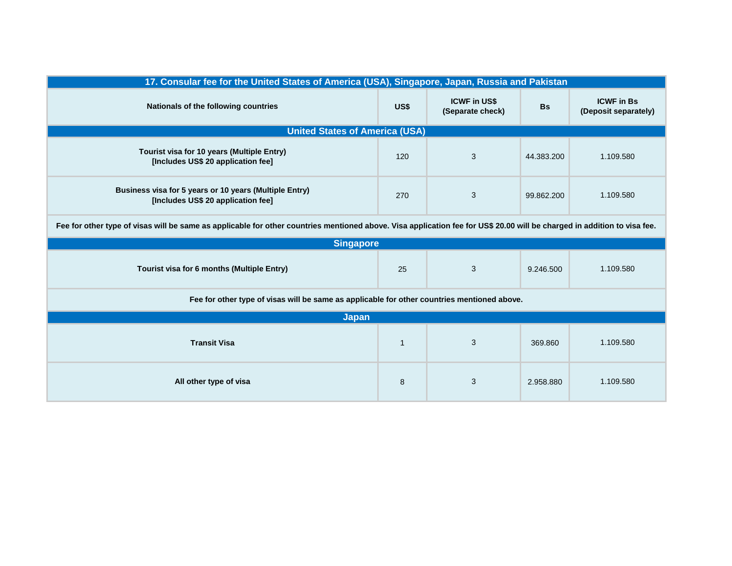| 17. Consular fee for the United States of America (USA), Singapore, Japan, Russia and Pakistan                                                                           |      |                                         |            |                                           |  |  |  |
|--------------------------------------------------------------------------------------------------------------------------------------------------------------------------|------|-----------------------------------------|------------|-------------------------------------------|--|--|--|
| Nationals of the following countries                                                                                                                                     | US\$ | <b>ICWF in US\$</b><br>(Separate check) | <b>Bs</b>  | <b>ICWF</b> in Bs<br>(Deposit separately) |  |  |  |
| <b>United States of America (USA)</b>                                                                                                                                    |      |                                         |            |                                           |  |  |  |
| Tourist visa for 10 years (Multiple Entry)<br>[Includes US\$ 20 application fee]                                                                                         | 120  | 3                                       | 44.383.200 | 1.109.580                                 |  |  |  |
| Business visa for 5 years or 10 years (Multiple Entry)<br>[Includes US\$ 20 application fee]                                                                             | 270  | 3                                       | 99.862.200 | 1.109.580                                 |  |  |  |
| Fee for other type of visas will be same as applicable for other countries mentioned above. Visa application fee for US\$ 20.00 will be charged in addition to visa fee. |      |                                         |            |                                           |  |  |  |
| <b>Singapore</b>                                                                                                                                                         |      |                                         |            |                                           |  |  |  |
| Tourist visa for 6 months (Multiple Entry)                                                                                                                               | 25   | 3                                       | 9.246.500  | 1.109.580                                 |  |  |  |
| Fee for other type of visas will be same as applicable for other countries mentioned above.                                                                              |      |                                         |            |                                           |  |  |  |
| <b>Japan</b>                                                                                                                                                             |      |                                         |            |                                           |  |  |  |
| <b>Transit Visa</b>                                                                                                                                                      |      | 3                                       | 369.860    | 1.109.580                                 |  |  |  |
| All other type of visa                                                                                                                                                   | 8    | 3                                       | 2.958.880  | 1.109.580                                 |  |  |  |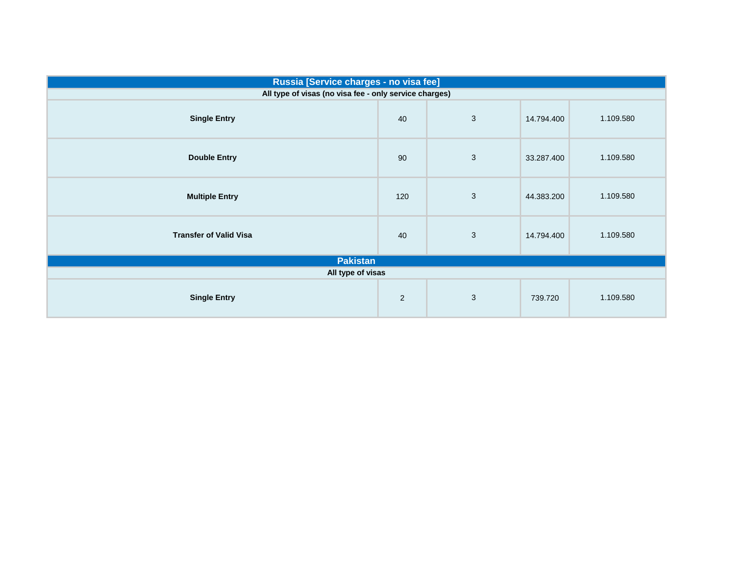|                                                        | Russia [Service charges - no visa fee] |            |            |           |  |  |  |  |
|--------------------------------------------------------|----------------------------------------|------------|------------|-----------|--|--|--|--|
| All type of visas (no visa fee - only service charges) |                                        |            |            |           |  |  |  |  |
| <b>Single Entry</b>                                    | 40                                     | $\sqrt{3}$ | 14.794.400 | 1.109.580 |  |  |  |  |
| <b>Double Entry</b>                                    | 90                                     | $\sqrt{3}$ | 33.287.400 | 1.109.580 |  |  |  |  |
| <b>Multiple Entry</b>                                  | 120                                    | $\sqrt{3}$ | 44.383.200 | 1.109.580 |  |  |  |  |
| <b>Transfer of Valid Visa</b>                          | 40                                     | $\sqrt{3}$ | 14.794.400 | 1.109.580 |  |  |  |  |
| <b>Pakistan</b>                                        |                                        |            |            |           |  |  |  |  |
| All type of visas                                      |                                        |            |            |           |  |  |  |  |
| <b>Single Entry</b>                                    | $\overline{2}$                         | 3          | 739.720    | 1.109.580 |  |  |  |  |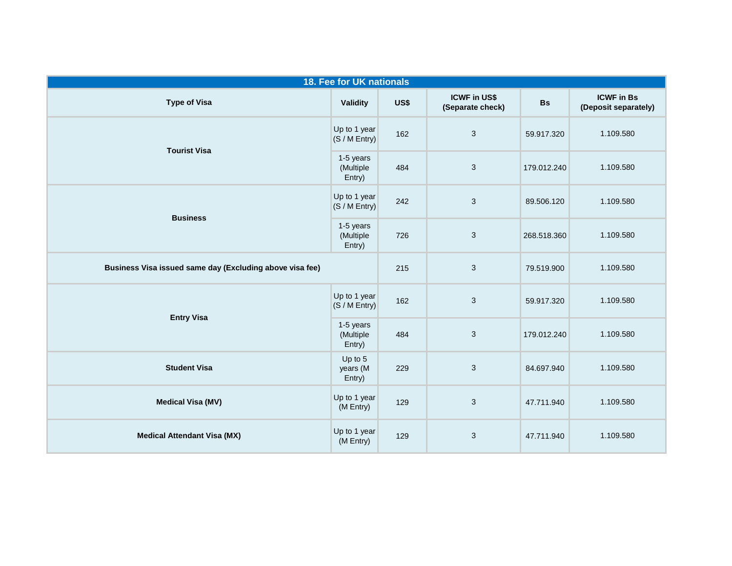| 18. Fee for UK nationals                                 |                                  |      |                                         |             |                                           |  |  |  |
|----------------------------------------------------------|----------------------------------|------|-----------------------------------------|-------------|-------------------------------------------|--|--|--|
| <b>Type of Visa</b>                                      | <b>Validity</b>                  | US\$ | <b>ICWF in US\$</b><br>(Separate check) | <b>Bs</b>   | <b>ICWF</b> in Bs<br>(Deposit separately) |  |  |  |
|                                                          | Up to 1 year<br>(S / M Entry)    | 162  | $\mathbf{3}$                            | 59.917.320  | 1.109.580                                 |  |  |  |
| <b>Tourist Visa</b>                                      | 1-5 years<br>(Multiple<br>Entry) | 484  | $\sqrt{3}$                              | 179.012.240 | 1.109.580                                 |  |  |  |
| <b>Business</b>                                          | Up to 1 year<br>(S / M Entry)    | 242  | $\sqrt{3}$                              | 89.506.120  | 1.109.580                                 |  |  |  |
|                                                          | 1-5 years<br>(Multiple<br>Entry) | 726  | $\sqrt{3}$                              | 268.518.360 | 1.109.580                                 |  |  |  |
| Business Visa issued same day (Excluding above visa fee) |                                  | 215  | $\sqrt{3}$                              | 79.519.900  | 1.109.580                                 |  |  |  |
| <b>Entry Visa</b>                                        | Up to 1 year<br>(S / M Entry)    | 162  | $\mathbf{3}$                            | 59.917.320  | 1.109.580                                 |  |  |  |
|                                                          | 1-5 years<br>(Multiple<br>Entry) | 484  | $\sqrt{3}$                              | 179.012.240 | 1.109.580                                 |  |  |  |
| <b>Student Visa</b>                                      | Up to 5<br>years (M<br>Entry)    | 229  | $\mathbf{3}$                            | 84.697.940  | 1.109.580                                 |  |  |  |
| <b>Medical Visa (MV)</b>                                 | Up to 1 year<br>(M Entry)        | 129  | $\sqrt{3}$                              | 47.711.940  | 1.109.580                                 |  |  |  |
| <b>Medical Attendant Visa (MX)</b>                       | Up to 1 year<br>(M Entry)        | 129  | $\sqrt{3}$                              | 47.711.940  | 1.109.580                                 |  |  |  |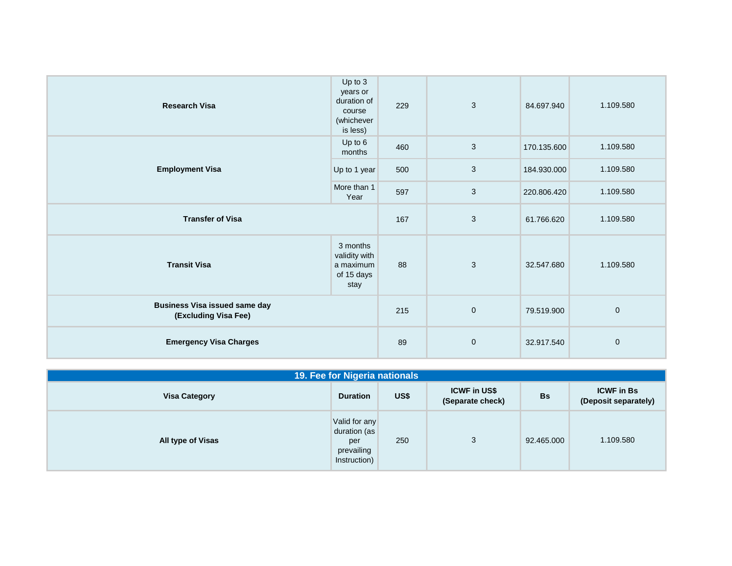| <b>Research Visa</b>                                         | Up to 3<br>years or<br>duration of<br>course<br>(whichever<br>is less) | 229 | 3            | 84.697.940  | 1.109.580   |
|--------------------------------------------------------------|------------------------------------------------------------------------|-----|--------------|-------------|-------------|
|                                                              | Up to $6$<br>months                                                    | 460 | $\mathbf{3}$ | 170.135.600 | 1.109.580   |
| <b>Employment Visa</b>                                       | Up to 1 year                                                           | 500 | $\sqrt{3}$   | 184.930.000 | 1.109.580   |
|                                                              | More than 1<br>Year                                                    | 597 | $\mathbf{3}$ | 220.806.420 | 1.109.580   |
| <b>Transfer of Visa</b>                                      |                                                                        | 167 | 3            | 61.766.620  | 1.109.580   |
| <b>Transit Visa</b>                                          | 3 months<br>validity with<br>a maximum<br>of 15 days<br>stay           | 88  | $\mathbf{3}$ | 32.547.680  | 1.109.580   |
| <b>Business Visa issued same day</b><br>(Excluding Visa Fee) |                                                                        | 215 | $\mathbf 0$  | 79.519.900  | $\mathbf 0$ |
| <b>Emergency Visa Charges</b>                                |                                                                        | 89  | $\pmb{0}$    | 32.917.540  | $\mathbf 0$ |

| 19. Fee for Nigeria nationals |                                                                    |      |                                         |            |                                           |  |
|-------------------------------|--------------------------------------------------------------------|------|-----------------------------------------|------------|-------------------------------------------|--|
| <b>Visa Category</b>          | <b>Duration</b>                                                    | US\$ | <b>ICWF in US\$</b><br>(Separate check) | <b>Bs</b>  | <b>ICWF</b> in Bs<br>(Deposit separately) |  |
| <b>All type of Visas</b>      | Valid for any<br>duration (as<br>per<br>prevailing<br>Instruction) | 250  | 3                                       | 92.465.000 | 1.109.580                                 |  |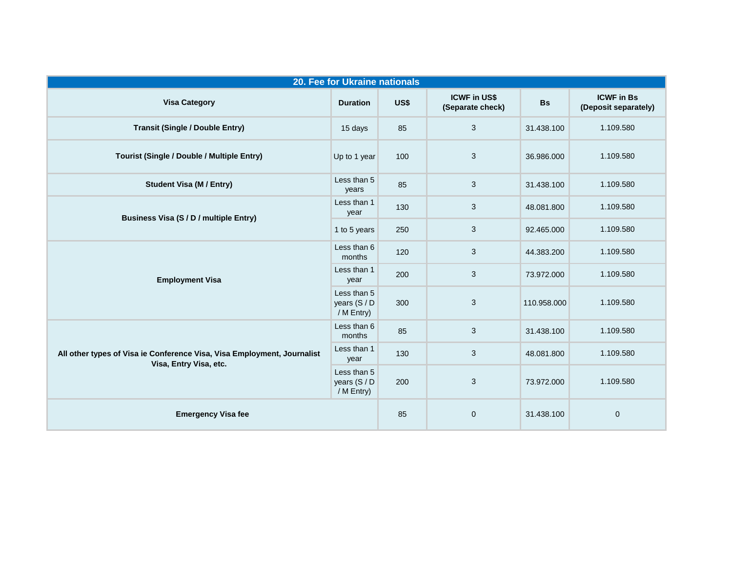| 20. Fee for Ukraine nationals                                                                     |                                           |                                                 |              |             |                                           |  |
|---------------------------------------------------------------------------------------------------|-------------------------------------------|-------------------------------------------------|--------------|-------------|-------------------------------------------|--|
| <b>Visa Category</b>                                                                              | <b>Duration</b>                           | <b>ICWF in US\$</b><br>US\$<br>(Separate check) |              | <b>Bs</b>   | <b>ICWF</b> in Bs<br>(Deposit separately) |  |
| <b>Transit (Single / Double Entry)</b>                                                            | 15 days                                   | 85                                              | $\mathbf{3}$ | 31.438.100  | 1.109.580                                 |  |
| Tourist (Single / Double / Multiple Entry)                                                        | Up to 1 year                              | 100                                             | $\mathbf{3}$ | 36.986.000  | 1.109.580                                 |  |
| <b>Student Visa (M / Entry)</b>                                                                   | Less than 5<br>years                      | 85                                              | $\sqrt{3}$   | 31.438.100  | 1.109.580                                 |  |
| <b>Business Visa (S / D / multiple Entry)</b>                                                     | Less than 1<br>year                       | 130                                             | $\mathbf{3}$ | 48.081.800  | 1.109.580                                 |  |
|                                                                                                   | 1 to 5 years                              | 250                                             | $\mathbf{3}$ | 92.465.000  | 1.109.580                                 |  |
|                                                                                                   | Less than 6<br>months                     | 120                                             | $\mathbf{3}$ | 44.383.200  | 1.109.580                                 |  |
| <b>Employment Visa</b>                                                                            | Less than 1<br>year                       | 200                                             | $\mathbf{3}$ | 73.972.000  | 1.109.580                                 |  |
|                                                                                                   | Less than 5<br>years (S / D<br>/ M Entry) | 300                                             | $\mathbf{3}$ | 110.958.000 | 1.109.580                                 |  |
|                                                                                                   | Less than 6<br>months                     | 85                                              | $\mathbf{3}$ | 31.438.100  | 1.109.580                                 |  |
| All other types of Visa ie Conference Visa, Visa Employment, Journalist<br>Visa, Entry Visa, etc. | Less than 1<br>year                       | 130                                             | $\mathbf{3}$ | 48.081.800  | 1.109.580                                 |  |
|                                                                                                   | Less than 5<br>years (S / D<br>/ M Entry) | 200                                             | $\mathbf{3}$ | 73.972.000  | 1.109.580                                 |  |
| <b>Emergency Visa fee</b>                                                                         |                                           | 85                                              | $\pmb{0}$    | 31.438.100  | $\mathbf 0$                               |  |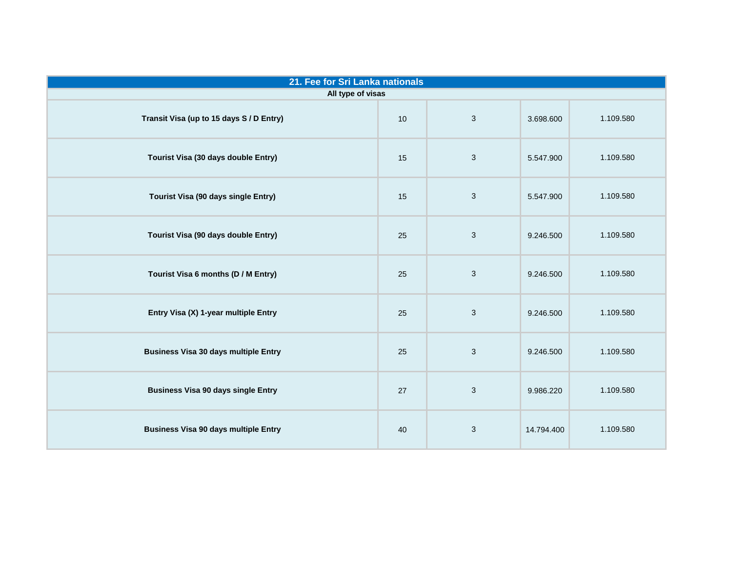| 21. Fee for Sri Lanka nationals<br>All type of visas |    |              |            |           |  |  |  |
|------------------------------------------------------|----|--------------|------------|-----------|--|--|--|
| Transit Visa (up to 15 days S / D Entry)             | 10 | $\mathbf{3}$ | 3.698.600  | 1.109.580 |  |  |  |
| Tourist Visa (30 days double Entry)                  | 15 | 3            | 5.547.900  | 1.109.580 |  |  |  |
| Tourist Visa (90 days single Entry)                  | 15 | $\sqrt{3}$   | 5.547.900  | 1.109.580 |  |  |  |
| Tourist Visa (90 days double Entry)                  | 25 | $\sqrt{3}$   | 9.246.500  | 1.109.580 |  |  |  |
| Tourist Visa 6 months (D / M Entry)                  | 25 | $\sqrt{3}$   | 9.246.500  | 1.109.580 |  |  |  |
| Entry Visa (X) 1-year multiple Entry                 | 25 | 3            | 9.246.500  | 1.109.580 |  |  |  |
| <b>Business Visa 30 days multiple Entry</b>          | 25 | $\mathbf{3}$ | 9.246.500  | 1.109.580 |  |  |  |
| <b>Business Visa 90 days single Entry</b>            | 27 | 3            | 9.986.220  | 1.109.580 |  |  |  |
| <b>Business Visa 90 days multiple Entry</b>          | 40 | 3            | 14.794.400 | 1.109.580 |  |  |  |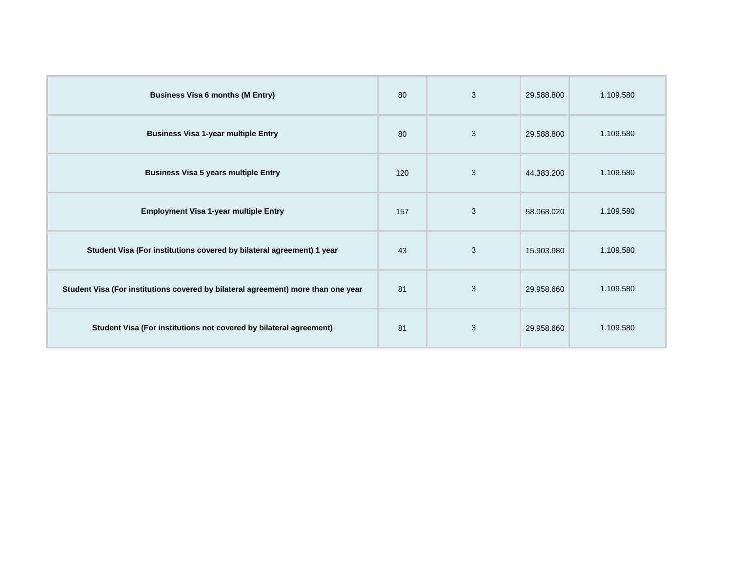| <b>Business Visa 6 months (M Entry)</b>                                           | 80 | 3 | 29.588.800 | 1.109.580 |
|-----------------------------------------------------------------------------------|----|---|------------|-----------|
| <b>Business Visa 1-year multiple Entry</b>                                        |    | 3 | 29.588.800 | 1.109.580 |
| <b>Business Visa 5 years multiple Entry</b>                                       |    | 3 | 44.383.200 | 1.109.580 |
| <b>Employment Visa 1-year multiple Entry</b>                                      |    | 3 | 58.068.020 | 1.109.580 |
| Student Visa (For institutions covered by bilateral agreement) 1 year             |    | 3 | 15.903.980 | 1.109.580 |
| Student Visa (For institutions covered by bilateral agreement) more than one year |    | 3 | 29.958.660 | 1.109.580 |
| Student Visa (For institutions not covered by bilateral agreement)                | 81 | 3 | 29.958.660 | 1.109.580 |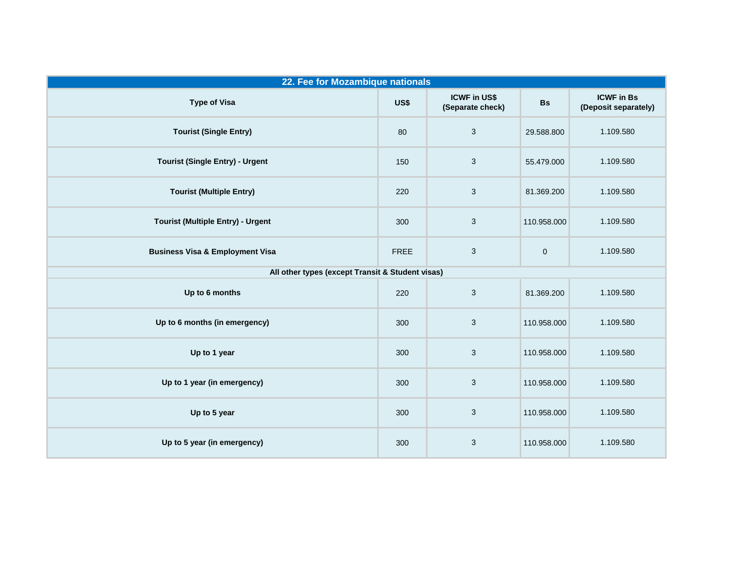| 22. Fee for Mozambique nationals                 |      |                                         |             |                                           |  |  |  |
|--------------------------------------------------|------|-----------------------------------------|-------------|-------------------------------------------|--|--|--|
| <b>Type of Visa</b>                              | US\$ | <b>ICWF in US\$</b><br>(Separate check) | <b>Bs</b>   | <b>ICWF</b> in Bs<br>(Deposit separately) |  |  |  |
| <b>Tourist (Single Entry)</b>                    | 80   | $\sqrt{3}$                              | 29.588.800  | 1.109.580                                 |  |  |  |
| <b>Tourist (Single Entry) - Urgent</b>           | 150  | 3                                       | 55.479.000  | 1.109.580                                 |  |  |  |
| <b>Tourist (Multiple Entry)</b>                  | 220  | $\sqrt{3}$                              | 81.369.200  | 1.109.580                                 |  |  |  |
| <b>Tourist (Multiple Entry) - Urgent</b>         | 300  | $\ensuremath{\mathsf{3}}$               | 110.958.000 | 1.109.580                                 |  |  |  |
| <b>Business Visa &amp; Employment Visa</b>       |      | $\sqrt{3}$                              | $\mathbf 0$ | 1.109.580                                 |  |  |  |
| All other types (except Transit & Student visas) |      |                                         |             |                                           |  |  |  |
| Up to 6 months                                   | 220  | $\sqrt{3}$                              | 81.369.200  | 1.109.580                                 |  |  |  |
| Up to 6 months (in emergency)                    | 300  | $\sqrt{3}$                              | 110.958.000 | 1.109.580                                 |  |  |  |
| Up to 1 year                                     | 300  | $\sqrt{3}$                              | 110.958.000 | 1.109.580                                 |  |  |  |
| Up to 1 year (in emergency)                      | 300  | $\sqrt{3}$                              | 110.958.000 | 1.109.580                                 |  |  |  |
| Up to 5 year                                     | 300  | $\sqrt{3}$                              | 110.958.000 | 1.109.580                                 |  |  |  |
| Up to 5 year (in emergency)                      | 300  | $\mathbf{3}$                            | 110.958.000 | 1.109.580                                 |  |  |  |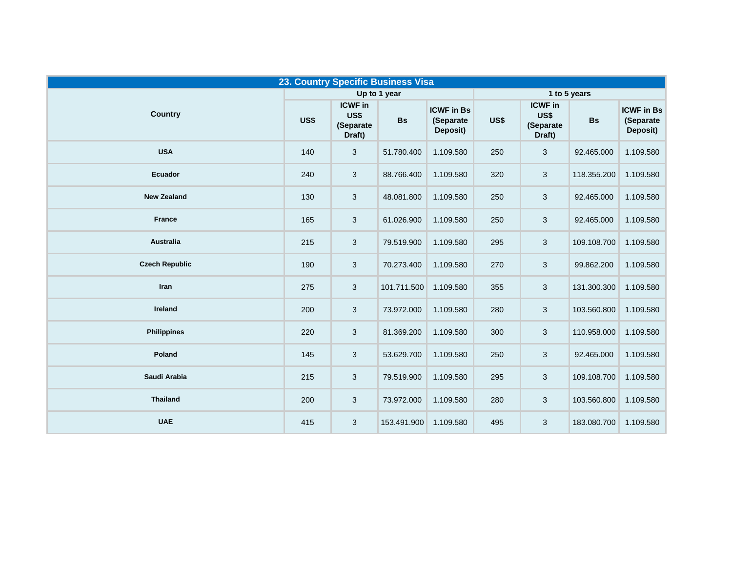| 23. Country Specific Business Visa |      |                                                |              |                                            |      |                                                |              |                                            |
|------------------------------------|------|------------------------------------------------|--------------|--------------------------------------------|------|------------------------------------------------|--------------|--------------------------------------------|
|                                    |      |                                                | Up to 1 year |                                            |      |                                                | 1 to 5 years |                                            |
| <b>Country</b>                     | US\$ | <b>ICWF</b> in<br>US\$<br>(Separate)<br>Draft) | <b>Bs</b>    | <b>ICWF</b> in Bs<br>(Separate<br>Deposit) | US\$ | <b>ICWF</b> in<br>US\$<br>(Separate)<br>Draft) | <b>Bs</b>    | <b>ICWF in Bs</b><br>(Separate<br>Deposit) |
| <b>USA</b>                         | 140  | 3                                              | 51.780.400   | 1.109.580                                  | 250  | 3                                              | 92.465.000   | 1.109.580                                  |
| Ecuador                            | 240  | 3                                              | 88.766.400   | 1.109.580                                  | 320  | 3                                              | 118.355.200  | 1.109.580                                  |
| <b>New Zealand</b>                 | 130  | 3                                              | 48.081.800   | 1.109.580                                  | 250  | 3                                              | 92.465.000   | 1.109.580                                  |
| <b>France</b>                      | 165  | 3                                              | 61.026.900   | 1.109.580                                  | 250  | 3                                              | 92.465.000   | 1.109.580                                  |
| <b>Australia</b>                   | 215  | 3                                              | 79.519.900   | 1.109.580                                  | 295  | 3                                              | 109.108.700  | 1.109.580                                  |
| <b>Czech Republic</b>              | 190  | 3                                              | 70.273.400   | 1.109.580                                  | 270  | 3                                              | 99.862.200   | 1.109.580                                  |
| Iran                               | 275  | 3                                              | 101.711.500  | 1.109.580                                  | 355  | 3                                              | 131.300.300  | 1.109.580                                  |
| Ireland                            | 200  | 3                                              | 73.972.000   | 1.109.580                                  | 280  | 3                                              | 103.560.800  | 1.109.580                                  |
| <b>Philippines</b>                 | 220  | 3                                              | 81.369.200   | 1.109.580                                  | 300  | 3                                              | 110.958.000  | 1.109.580                                  |
| Poland                             | 145  | $\mathfrak{S}$                                 | 53.629.700   | 1.109.580                                  | 250  | 3                                              | 92.465.000   | 1.109.580                                  |
| Saudi Arabia                       | 215  | 3                                              | 79.519.900   | 1.109.580                                  | 295  | 3                                              | 109.108.700  | 1.109.580                                  |
| <b>Thailand</b>                    | 200  | 3                                              | 73.972.000   | 1.109.580                                  | 280  | 3                                              | 103.560.800  | 1.109.580                                  |
| <b>UAE</b>                         | 415  | 3                                              | 153.491.900  | 1.109.580                                  | 495  | 3                                              | 183.080.700  | 1.109.580                                  |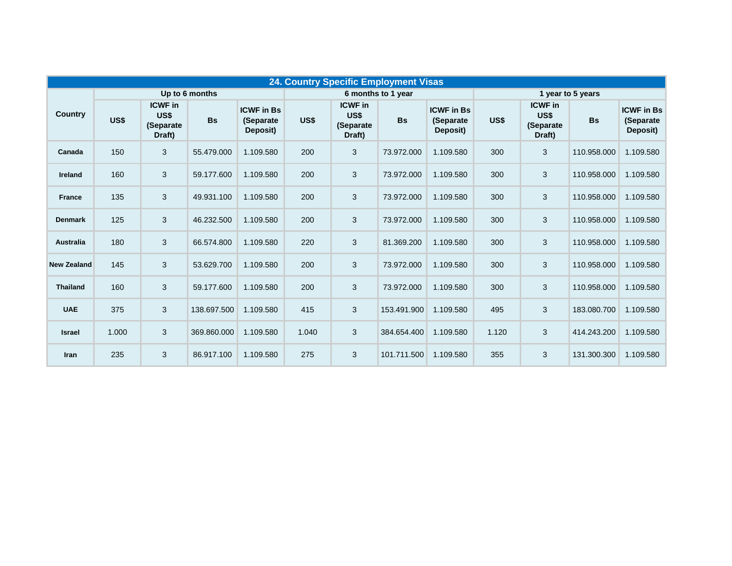| <b>24. Country Specific Employment Visas</b> |                |                                               |             |                                            |       |                                                |                   |                                            |       |                                               |             |                                            |
|----------------------------------------------|----------------|-----------------------------------------------|-------------|--------------------------------------------|-------|------------------------------------------------|-------------------|--------------------------------------------|-------|-----------------------------------------------|-------------|--------------------------------------------|
| <b>Country</b>                               | Up to 6 months |                                               |             | 6 months to 1 year                         |       |                                                | 1 year to 5 years |                                            |       |                                               |             |                                            |
|                                              | US\$           | <b>ICWF</b> in<br>US\$<br>(Separate<br>Draft) | <b>Bs</b>   | <b>ICWF</b> in Bs<br>(Separate<br>Deposit) | US\$  | <b>ICWF</b> in<br>US\$<br>(Separate)<br>Draft) | <b>Bs</b>         | <b>ICWF</b> in Bs<br>(Separate<br>Deposit) | US\$  | <b>ICWF</b> in<br>US\$<br>(Separate<br>Draft) | <b>Bs</b>   | <b>ICWF</b> in Bs<br>(Separate<br>Deposit) |
| Canada                                       | 150            | 3                                             | 55.479.000  | 1.109.580                                  | 200   | 3                                              | 73.972.000        | 1.109.580                                  | 300   | 3                                             | 110.958.000 | 1.109.580                                  |
| Ireland                                      | 160            | 3                                             | 59.177.600  | 1.109.580                                  | 200   | 3                                              | 73.972.000        | 1.109.580                                  | 300   | 3                                             | 110.958.000 | 1.109.580                                  |
| <b>France</b>                                | 135            | 3                                             | 49.931.100  | 1.109.580                                  | 200   | 3                                              | 73.972.000        | 1.109.580                                  | 300   | 3                                             | 110.958.000 | 1.109.580                                  |
| <b>Denmark</b>                               | 125            | 3                                             | 46.232.500  | 1.109.580                                  | 200   | 3                                              | 73.972.000        | 1.109.580                                  | 300   | 3                                             | 110.958.000 | 1.109.580                                  |
| <b>Australia</b>                             | 180            | 3                                             | 66.574.800  | 1.109.580                                  | 220   | 3                                              | 81.369.200        | 1.109.580                                  | 300   | 3                                             | 110.958.000 | 1.109.580                                  |
| <b>New Zealand</b>                           | 145            | 3                                             | 53.629.700  | 1.109.580                                  | 200   | 3                                              | 73.972.000        | 1.109.580                                  | 300   | 3                                             | 110.958.000 | 1.109.580                                  |
| <b>Thailand</b>                              | 160            | 3                                             | 59.177.600  | 1.109.580                                  | 200   | 3                                              | 73.972.000        | 1.109.580                                  | 300   | 3                                             | 110.958.000 | 1.109.580                                  |
| <b>UAE</b>                                   | 375            | 3                                             | 138.697.500 | 1.109.580                                  | 415   | 3                                              | 153.491.900       | 1.109.580                                  | 495   | 3                                             | 183.080.700 | 1.109.580                                  |
| <b>Israel</b>                                | 1.000          | 3                                             | 369.860.000 | 1.109.580                                  | 1.040 | 3                                              | 384.654.400       | 1.109.580                                  | 1.120 | 3                                             | 414.243.200 | 1.109.580                                  |
| Iran                                         | 235            | 3                                             | 86.917.100  | 1.109.580                                  | 275   | 3                                              | 101.711.500       | 1.109.580                                  | 355   | 3                                             | 131.300.300 | 1.109.580                                  |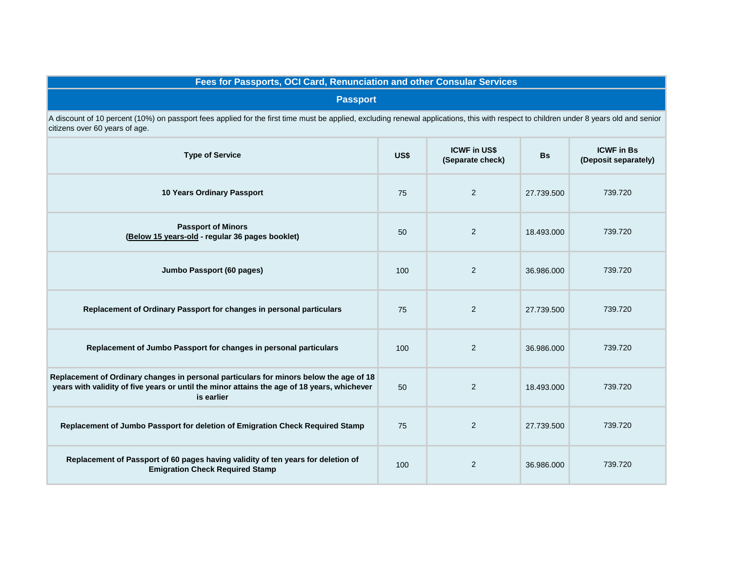## **Fees for Passports, OCI Card, Renunciation and other Consular Services**

**Passport**

A discount of 10 percent (10%) on passport fees applied for the first time must be applied, excluding renewal applications, this with respect to children under 8 years old and senior citizens over 60 years of age.

| <b>Type of Service</b>                                                                                                                                                                              | US\$ | <b>ICWF in US\$</b><br>(Separate check) | <b>Bs</b>  | <b>ICWF</b> in Bs<br>(Deposit separately) |
|-----------------------------------------------------------------------------------------------------------------------------------------------------------------------------------------------------|------|-----------------------------------------|------------|-------------------------------------------|
| 10 Years Ordinary Passport                                                                                                                                                                          | 75   | 2                                       | 27.739.500 | 739.720                                   |
| <b>Passport of Minors</b><br>(Below 15 years-old - regular 36 pages booklet)                                                                                                                        | 50   | 2                                       | 18.493.000 | 739.720                                   |
| Jumbo Passport (60 pages)                                                                                                                                                                           | 100  | 2                                       | 36.986.000 | 739.720                                   |
| Replacement of Ordinary Passport for changes in personal particulars                                                                                                                                | 75   | 2                                       | 27.739.500 | 739.720                                   |
| Replacement of Jumbo Passport for changes in personal particulars                                                                                                                                   | 100  | 2                                       | 36.986.000 | 739.720                                   |
| Replacement of Ordinary changes in personal particulars for minors below the age of 18<br>years with validity of five years or until the minor attains the age of 18 years, whichever<br>is earlier | 50   | 2                                       | 18.493.000 | 739.720                                   |
| Replacement of Jumbo Passport for deletion of Emigration Check Required Stamp                                                                                                                       | 75   | 2                                       | 27.739.500 | 739.720                                   |
| Replacement of Passport of 60 pages having validity of ten years for deletion of<br><b>Emigration Check Required Stamp</b>                                                                          | 100  | 2                                       | 36.986.000 | 739.720                                   |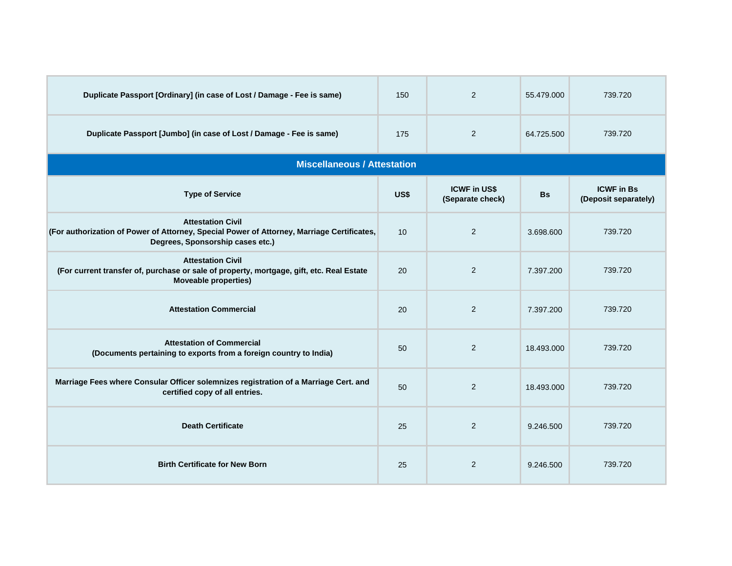| Duplicate Passport [Ordinary] (in case of Lost / Damage - Fee is same)                                                                                     | 150  | 2                                       | 55.479.000 | 739.720                                   |  |  |  |  |
|------------------------------------------------------------------------------------------------------------------------------------------------------------|------|-----------------------------------------|------------|-------------------------------------------|--|--|--|--|
| Duplicate Passport [Jumbo] (in case of Lost / Damage - Fee is same)                                                                                        | 175  | 2                                       | 64.725.500 | 739.720                                   |  |  |  |  |
| <b>Miscellaneous / Attestation</b>                                                                                                                         |      |                                         |            |                                           |  |  |  |  |
| <b>Type of Service</b>                                                                                                                                     | US\$ | <b>ICWF in US\$</b><br>(Separate check) | <b>Bs</b>  | <b>ICWF</b> in Bs<br>(Deposit separately) |  |  |  |  |
| <b>Attestation Civil</b><br>(For authorization of Power of Attorney, Special Power of Attorney, Marriage Certificates,<br>Degrees, Sponsorship cases etc.) | 10   | 2                                       | 3.698.600  | 739.720                                   |  |  |  |  |
| <b>Attestation Civil</b><br>(For current transfer of, purchase or sale of property, mortgage, gift, etc. Real Estate<br><b>Moveable properties)</b>        | 20   | $\overline{2}$                          | 7.397.200  | 739.720                                   |  |  |  |  |
| <b>Attestation Commercial</b>                                                                                                                              | 20   | 2                                       | 7.397.200  | 739.720                                   |  |  |  |  |
| <b>Attestation of Commercial</b><br>(Documents pertaining to exports from a foreign country to India)                                                      | 50   | 2                                       | 18.493.000 | 739.720                                   |  |  |  |  |
| Marriage Fees where Consular Officer solemnizes registration of a Marriage Cert. and<br>certified copy of all entries.                                     | 50   | 2                                       | 18.493.000 | 739.720                                   |  |  |  |  |
| <b>Death Certificate</b>                                                                                                                                   | 25   | 2                                       | 9.246.500  | 739.720                                   |  |  |  |  |
| <b>Birth Certificate for New Born</b>                                                                                                                      | 25   | 2                                       | 9.246.500  | 739.720                                   |  |  |  |  |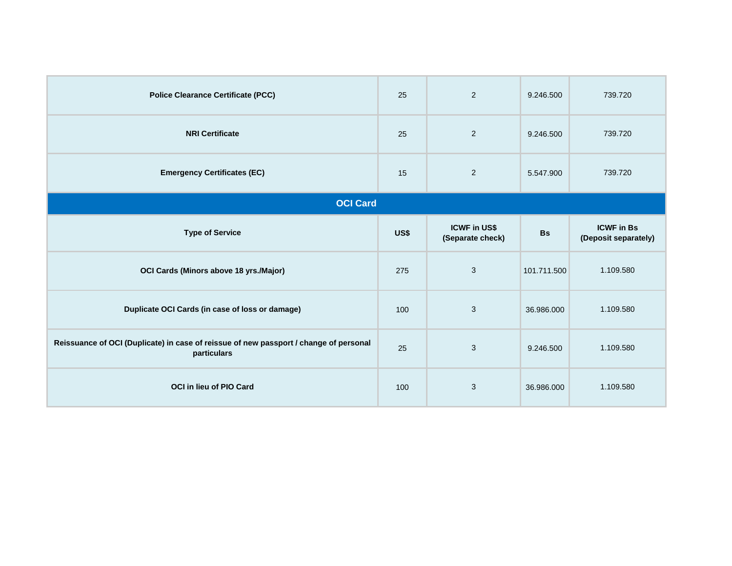| <b>Police Clearance Certificate (PCC)</b>                                                            | 25   | 2                                       | 9.246.500   | 739.720                                   |  |  |  |
|------------------------------------------------------------------------------------------------------|------|-----------------------------------------|-------------|-------------------------------------------|--|--|--|
| <b>NRI Certificate</b>                                                                               | 25   | $\overline{2}$                          | 9.246.500   | 739.720                                   |  |  |  |
| <b>Emergency Certificates (EC)</b>                                                                   | 15   | $\overline{2}$                          | 5.547.900   | 739.720                                   |  |  |  |
| <b>OCI Card</b>                                                                                      |      |                                         |             |                                           |  |  |  |
| <b>Type of Service</b>                                                                               | US\$ | <b>ICWF in US\$</b><br>(Separate check) | <b>Bs</b>   | <b>ICWF in Bs</b><br>(Deposit separately) |  |  |  |
| OCI Cards (Minors above 18 yrs./Major)                                                               | 275  | 3                                       | 101.711.500 | 1.109.580                                 |  |  |  |
| Duplicate OCI Cards (in case of loss or damage)                                                      | 100  | $\sqrt{3}$                              | 36.986.000  | 1.109.580                                 |  |  |  |
| Reissuance of OCI (Duplicate) in case of reissue of new passport / change of personal<br>particulars | 25   | 3                                       | 9.246.500   | 1.109.580                                 |  |  |  |
| OCI in lieu of PIO Card                                                                              | 100  | $\mathbf{3}$                            | 36.986.000  | 1.109.580                                 |  |  |  |